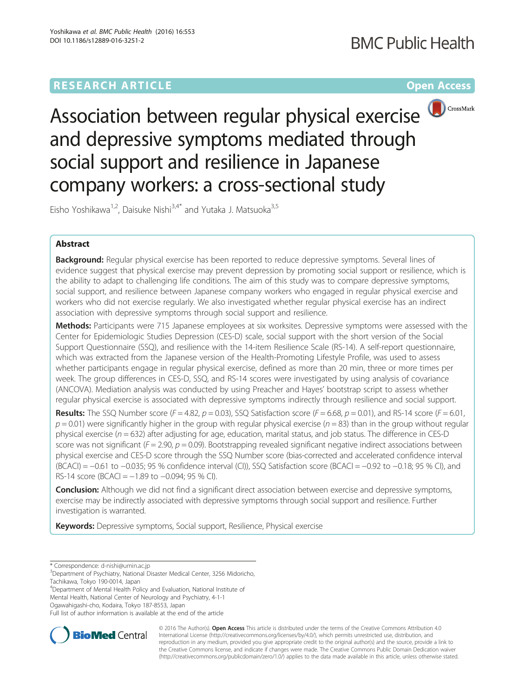# **RESEARCH ARTICLE Example 2014 12:30 The Contract of Contract ACCESS**



Association between regular physical exercise and depressive symptoms mediated through social support and resilience in Japanese company workers: a cross-sectional study

Eisho Yoshikawa<sup>1,2</sup>, Daisuke Nishi<sup>3,4\*</sup> and Yutaka J. Matsuoka<sup>3,5</sup>

# Abstract

**Background:** Regular physical exercise has been reported to reduce depressive symptoms. Several lines of evidence suggest that physical exercise may prevent depression by promoting social support or resilience, which is the ability to adapt to challenging life conditions. The aim of this study was to compare depressive symptoms, social support, and resilience between Japanese company workers who engaged in regular physical exercise and workers who did not exercise regularly. We also investigated whether regular physical exercise has an indirect association with depressive symptoms through social support and resilience.

Methods: Participants were 715 Japanese employees at six worksites. Depressive symptoms were assessed with the Center for Epidemiologic Studies Depression (CES-D) scale, social support with the short version of the Social Support Questionnaire (SSQ), and resilience with the 14-item Resilience Scale (RS-14). A self-report questionnaire, which was extracted from the Japanese version of the Health-Promoting Lifestyle Profile, was used to assess whether participants engage in regular physical exercise, defined as more than 20 min, three or more times per week. The group differences in CES-D, SSQ, and RS-14 scores were investigated by using analysis of covariance (ANCOVA). Mediation analysis was conducted by using Preacher and Hayes' bootstrap script to assess whether regular physical exercise is associated with depressive symptoms indirectly through resilience and social support.

**Results:** The SSQ Number score  $(F = 4.82, p = 0.03)$ , SSQ Satisfaction score  $(F = 6.68, p = 0.01)$ , and RS-14 score  $(F = 6.01, p = 0.01)$  $p = 0.01$ ) were significantly higher in the group with regular physical exercise ( $n = 83$ ) than in the group without regular physical exercise ( $n = 632$ ) after adjusting for age, education, marital status, and job status. The difference in CES-D score was not significant ( $F = 2.90$ ,  $p = 0.09$ ). Bootstrapping revealed significant negative indirect associations between physical exercise and CES-D score through the SSQ Number score (bias-corrected and accelerated confidence interval (BCACI) = −0.61 to −0.035; 95 % confidence interval (CI)), SSQ Satisfaction score (BCACI = −0.92 to −0.18; 95 % CI), and RS-14 score (BCACI =  $-1.89$  to  $-0.094$ ; 95 % CI).

**Conclusion:** Although we did not find a significant direct association between exercise and depressive symptoms, exercise may be indirectly associated with depressive symptoms through social support and resilience. Further investigation is warranted.

**Keywords:** Depressive symptoms, Social support, Resilience, Physical exercise

\* Correspondence: [d-nishi@umin.ac.jp](mailto:d-nishi@umin.ac.jp) <sup>3</sup>

<sup>3</sup>Department of Psychiatry, National Disaster Medical Center, 3256 Midoricho,

Tachikawa, Tokyo 190-0014, Japan

4 Department of Mental Health Policy and Evaluation, National Institute of Mental Health, National Center of Neurology and Psychiatry, 4-1-1 Ogawahigashi-cho, Kodaira, Tokyo 187-8553, Japan

Full list of author information is available at the end of the article



© 2016 The Author(s). Open Access This article is distributed under the terms of the Creative Commons Attribution 4.0 International License [\(http://creativecommons.org/licenses/by/4.0/](http://creativecommons.org/licenses/by/4.0/)), which permits unrestricted use, distribution, and reproduction in any medium, provided you give appropriate credit to the original author(s) and the source, provide a link to the Creative Commons license, and indicate if changes were made. The Creative Commons Public Domain Dedication waiver [\(http://creativecommons.org/publicdomain/zero/1.0/](http://creativecommons.org/publicdomain/zero/1.0/)) applies to the data made available in this article, unless otherwise stated.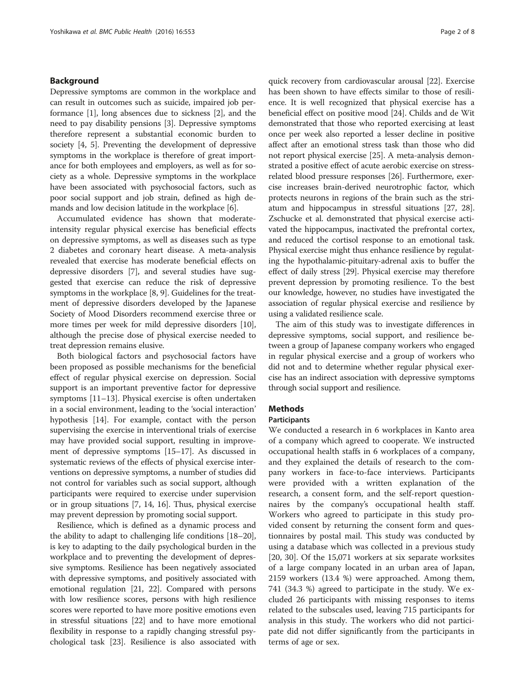# Background

Depressive symptoms are common in the workplace and can result in outcomes such as suicide, impaired job performance [\[1](#page-6-0)], long absences due to sickness [\[2](#page-6-0)], and the need to pay disability pensions [\[3](#page-6-0)]. Depressive symptoms therefore represent a substantial economic burden to society [\[4](#page-6-0), [5](#page-6-0)]. Preventing the development of depressive symptoms in the workplace is therefore of great importance for both employees and employers, as well as for society as a whole. Depressive symptoms in the workplace have been associated with psychosocial factors, such as poor social support and job strain, defined as high demands and low decision latitude in the workplace [[6](#page-6-0)].

Accumulated evidence has shown that moderateintensity regular physical exercise has beneficial effects on depressive symptoms, as well as diseases such as type 2 diabetes and coronary heart disease. A meta-analysis revealed that exercise has moderate beneficial effects on depressive disorders [\[7](#page-6-0)], and several studies have suggested that exercise can reduce the risk of depressive symptoms in the workplace [\[8](#page-6-0), [9\]](#page-7-0). Guidelines for the treatment of depressive disorders developed by the Japanese Society of Mood Disorders recommend exercise three or more times per week for mild depressive disorders [[10](#page-7-0)], although the precise dose of physical exercise needed to treat depression remains elusive.

Both biological factors and psychosocial factors have been proposed as possible mechanisms for the beneficial effect of regular physical exercise on depression. Social support is an important preventive factor for depressive symptoms [[11](#page-7-0)–[13](#page-7-0)]. Physical exercise is often undertaken in a social environment, leading to the 'social interaction' hypothesis [\[14](#page-7-0)]. For example, contact with the person supervising the exercise in interventional trials of exercise may have provided social support, resulting in improvement of depressive symptoms [[15](#page-7-0)–[17\]](#page-7-0). As discussed in systematic reviews of the effects of physical exercise interventions on depressive symptoms, a number of studies did not control for variables such as social support, although participants were required to exercise under supervision or in group situations [[7](#page-6-0), [14, 16](#page-7-0)]. Thus, physical exercise may prevent depression by promoting social support.

Resilience, which is defined as a dynamic process and the ability to adapt to challenging life conditions [\[18](#page-7-0)–[20](#page-7-0)], is key to adapting to the daily psychological burden in the workplace and to preventing the development of depressive symptoms. Resilience has been negatively associated with depressive symptoms, and positively associated with emotional regulation [\[21](#page-7-0), [22](#page-7-0)]. Compared with persons with low resilience scores, persons with high resilience scores were reported to have more positive emotions even in stressful situations [\[22](#page-7-0)] and to have more emotional flexibility in response to a rapidly changing stressful psychological task [[23](#page-7-0)]. Resilience is also associated with

quick recovery from cardiovascular arousal [\[22\]](#page-7-0). Exercise has been shown to have effects similar to those of resilience. It is well recognized that physical exercise has a beneficial effect on positive mood [[24](#page-7-0)]. Childs and de Wit demonstrated that those who reported exercising at least once per week also reported a lesser decline in positive affect after an emotional stress task than those who did not report physical exercise [\[25\]](#page-7-0). A meta-analysis demonstrated a positive effect of acute aerobic exercise on stressrelated blood pressure responses [[26](#page-7-0)]. Furthermore, exercise increases brain-derived neurotrophic factor, which protects neurons in regions of the brain such as the striatum and hippocampus in stressful situations [[27](#page-7-0), [28](#page-7-0)]. Zschucke et al. demonstrated that physical exercise activated the hippocampus, inactivated the prefrontal cortex, and reduced the cortisol response to an emotional task. Physical exercise might thus enhance resilience by regulating the hypothalamic-pituitary-adrenal axis to buffer the effect of daily stress [\[29](#page-7-0)]. Physical exercise may therefore prevent depression by promoting resilience. To the best our knowledge, however, no studies have investigated the association of regular physical exercise and resilience by using a validated resilience scale.

The aim of this study was to investigate differences in depressive symptoms, social support, and resilience between a group of Japanese company workers who engaged in regular physical exercise and a group of workers who did not and to determine whether regular physical exercise has an indirect association with depressive symptoms through social support and resilience.

# Methods

# Participants

We conducted a research in 6 workplaces in Kanto area of a company which agreed to cooperate. We instructed occupational health staffs in 6 workplaces of a company, and they explained the details of research to the company workers in face-to-face interviews. Participants were provided with a written explanation of the research, a consent form, and the self-report questionnaires by the company's occupational health staff. Workers who agreed to participate in this study provided consent by returning the consent form and questionnaires by postal mail. This study was conducted by using a database which was collected in a previous study [[20, 30](#page-7-0)]. Of the 15,071 workers at six separate worksites of a large company located in an urban area of Japan, 2159 workers (13.4 %) were approached. Among them, 741 (34.3 %) agreed to participate in the study. We excluded 26 participants with missing responses to items related to the subscales used, leaving 715 participants for analysis in this study. The workers who did not participate did not differ significantly from the participants in terms of age or sex.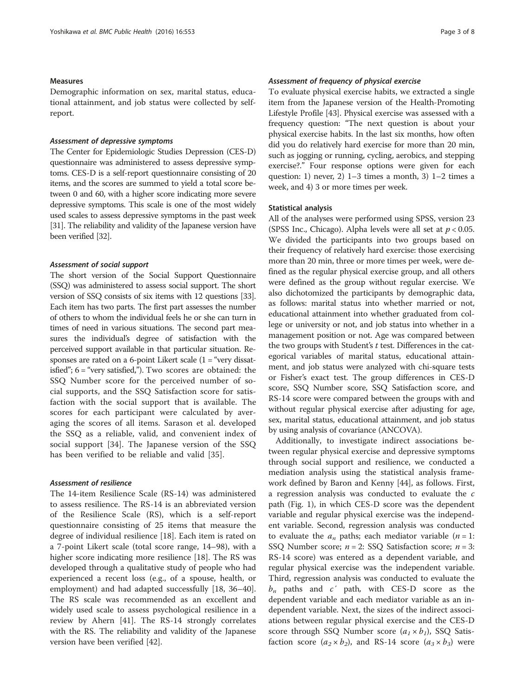### Measures

Demographic information on sex, marital status, educational attainment, and job status were collected by selfreport.

### Assessment of depressive symptoms

The Center for Epidemiologic Studies Depression (CES-D) questionnaire was administered to assess depressive symptoms. CES-D is a self-report questionnaire consisting of 20 items, and the scores are summed to yield a total score between 0 and 60, with a higher score indicating more severe depressive symptoms. This scale is one of the most widely used scales to assess depressive symptoms in the past week [[31](#page-7-0)]. The reliability and validity of the Japanese version have been verified [\[32\]](#page-7-0).

### Assessment of social support

The short version of the Social Support Questionnaire (SSQ) was administered to assess social support. The short version of SSQ consists of six items with 12 questions [\[33](#page-7-0)]. Each item has two parts. The first part assesses the number of others to whom the individual feels he or she can turn in times of need in various situations. The second part measures the individual's degree of satisfaction with the perceived support available in that particular situation. Responses are rated on a 6-point Likert scale  $(1 = "very dissat-)$ isfied";  $6 =$  "very satisfied,"). Two scores are obtained: the SSQ Number score for the perceived number of social supports, and the SSQ Satisfaction score for satisfaction with the social support that is available. The scores for each participant were calculated by averaging the scores of all items. Sarason et al. developed the SSQ as a reliable, valid, and convenient index of social support [[34\]](#page-7-0). The Japanese version of the SSQ has been verified to be reliable and valid [\[35](#page-7-0)].

#### Assessment of resilience

The 14-item Resilience Scale (RS-14) was administered to assess resilience. The RS-14 is an abbreviated version of the Resilience Scale (RS), which is a self-report questionnaire consisting of 25 items that measure the degree of individual resilience [[18\]](#page-7-0). Each item is rated on a 7-point Likert scale (total score range, 14–98), with a higher score indicating more resilience [\[18](#page-7-0)]. The RS was developed through a qualitative study of people who had experienced a recent loss (e.g., of a spouse, health, or employment) and had adapted successfully [[18](#page-7-0), [36](#page-7-0)–[40](#page-7-0)]. The RS scale was recommended as an excellent and widely used scale to assess psychological resilience in a review by Ahern [[41\]](#page-7-0). The RS-14 strongly correlates with the RS. The reliability and validity of the Japanese version have been verified [\[42\]](#page-7-0).

# Assessment of frequency of physical exercise

To evaluate physical exercise habits, we extracted a single item from the Japanese version of the Health-Promoting Lifestyle Profile [[43](#page-7-0)]. Physical exercise was assessed with a frequency question: "The next question is about your physical exercise habits. In the last six months, how often did you do relatively hard exercise for more than 20 min, such as jogging or running, cycling, aerobics, and stepping exercise?." Four response options were given for each question: 1) never, 2) 1–3 times a month, 3) 1–2 times a week, and 4) 3 or more times per week.

### Statistical analysis

All of the analyses were performed using SPSS, version 23 (SPSS Inc., Chicago). Alpha levels were all set at  $p < 0.05$ . We divided the participants into two groups based on their frequency of relatively hard exercise: those exercising more than 20 min, three or more times per week, were defined as the regular physical exercise group, and all others were defined as the group without regular exercise. We also dichotomized the participants by demographic data, as follows: marital status into whether married or not, educational attainment into whether graduated from college or university or not, and job status into whether in a management position or not. Age was compared between the two groups with Student's  $t$  test. Differences in the categorical variables of marital status, educational attainment, and job status were analyzed with chi-square tests or Fisher's exact test. The group differences in CES-D score, SSQ Number score, SSQ Satisfaction score, and RS-14 score were compared between the groups with and without regular physical exercise after adjusting for age, sex, marital status, educational attainment, and job status by using analysis of covariance (ANCOVA).

Additionally, to investigate indirect associations between regular physical exercise and depressive symptoms through social support and resilience, we conducted a mediation analysis using the statistical analysis framework defined by Baron and Kenny [[44](#page-7-0)], as follows. First, a regression analysis was conducted to evaluate the c path (Fig. [1](#page-3-0)), in which CES-D score was the dependent variable and regular physical exercise was the independent variable. Second, regression analysis was conducted to evaluate the  $a_n$  paths; each mediator variable (*n* = 1: SSQ Number score;  $n = 2$ : SSQ Satisfaction score;  $n = 3$ : RS-14 score) was entered as a dependent variable, and regular physical exercise was the independent variable. Third, regression analysis was conducted to evaluate the  $b_n$  paths and  $c'$  path, with CES-D score as the dependent variable and each mediator variable as an independent variable. Next, the sizes of the indirect associations between regular physical exercise and the CES-D score through SSQ Number score  $(a_1 \times b_1)$ , SSQ Satisfaction score  $(a_2 \times b_2)$ , and RS-14 score  $(a_3 \times b_3)$  were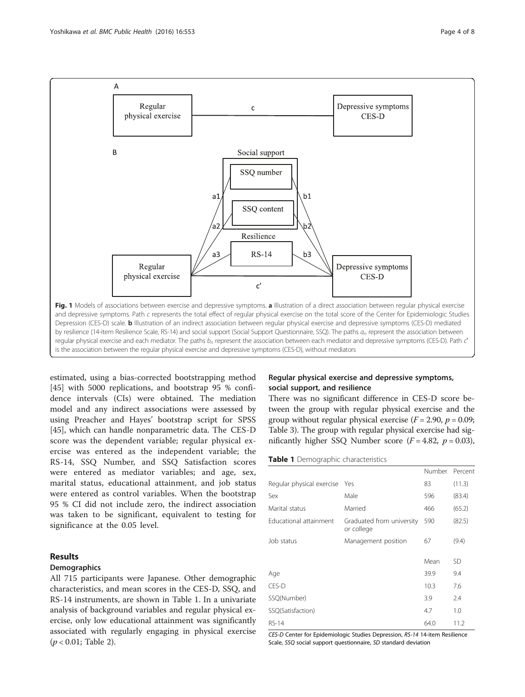<span id="page-3-0"></span>

estimated, using a bias-corrected bootstrapping method [[45\]](#page-7-0) with 5000 replications, and bootstrap 95 % confidence intervals (CIs) were obtained. The mediation model and any indirect associations were assessed by using Preacher and Hayes' bootstrap script for SPSS [[45\]](#page-7-0), which can handle nonparametric data. The CES-D score was the dependent variable; regular physical exercise was entered as the independent variable; the RS-14, SSQ Number, and SSQ Satisfaction scores were entered as mediator variables; and age, sex, marital status, educational attainment, and job status were entered as control variables. When the bootstrap 95 % CI did not include zero, the indirect association was taken to be significant, equivalent to testing for significance at the 0.05 level.

# Results

### **Demographics**

All 715 participants were Japanese. Other demographic characteristics, and mean scores in the CES-D, SSQ, and RS-14 instruments, are shown in Table 1. In a univariate analysis of background variables and regular physical exercise, only low educational attainment was significantly associated with regularly engaging in physical exercise  $(p < 0.01;$  Table [2](#page-4-0)).

# Regular physical exercise and depressive symptoms, social support, and resilience

There was no significant difference in CES-D score between the group with regular physical exercise and the group without regular physical exercise  $(F = 2.90, p = 0.09;$ Table [3](#page-4-0)). The group with regular physical exercise had significantly higher SSQ Number score  $(F = 4.82, p = 0.03)$ ,

Table 1 Demographic characteristics

|                           |                                         | <b>Number</b> | Percent |
|---------------------------|-----------------------------------------|---------------|---------|
| Regular physical exercise | Yes                                     | 83            | (11.3)  |
| Sex                       | Male                                    | 596           | (83.4)  |
| Marital status            | Married                                 | 466           | (65.2)  |
| Educational attainment    | Graduated from university<br>or college | 590           | (82.5)  |
| Job status                | Management position                     | 67            | (9.4)   |
|                           |                                         | Mean          | SD      |
| Age                       |                                         | 39.9          | 9.4     |
| CES-D                     |                                         | 10.3          | 7.6     |
| SSQ(Number)               |                                         | 3.9           | 2.4     |
| SSQ(Satisfaction)         |                                         | 4.7           | 1.0     |
| <b>RS-14</b>              |                                         | 64.0          | 11.2    |

CES-D Center for Epidemiologic Studies Depression, RS-14 14-item Resilience Scale, SSQ social support questionnaire, SD standard deviation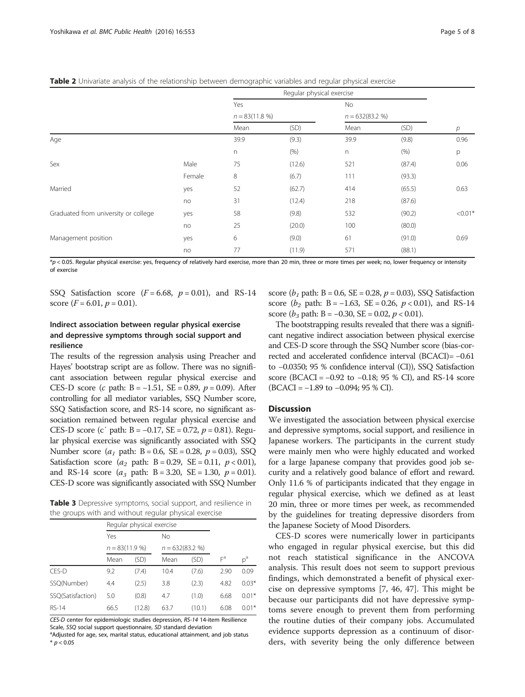<span id="page-4-0"></span>Table 2 Univariate analysis of the relationship between demographic variables and regular physical exercise

|                                      |        | Regular physical exercise |        |                         |        |                |  |
|--------------------------------------|--------|---------------------------|--------|-------------------------|--------|----------------|--|
|                                      |        | Yes<br>$n = 83(11.8%)$    |        | No<br>$n = 632(83.2 %)$ |        |                |  |
|                                      |        |                           |        |                         |        |                |  |
|                                      |        | Mean                      | (SD)   | Mean                    | (SD)   | $\overline{p}$ |  |
| Age                                  |        | 39.9                      | (9.3)  | 39.9                    | (9.8)  | 0.96           |  |
|                                      |        | $\Gamma$                  | (% )   | $\mathsf{n}$            | (% )   | p              |  |
| Sex                                  | Male   | 75                        | (12.6) | 521                     | (87.4) | 0.06           |  |
|                                      | Female | 8                         | (6.7)  | 111                     | (93.3) |                |  |
| Married                              | yes    | 52                        | (62.7) | 414                     | (65.5) | 0.63           |  |
|                                      | no     | 31                        | (12.4) | 218                     | (87.6) |                |  |
| Graduated from university or college | yes    | 58                        | (9.8)  | 532                     | (90.2) | $< 0.01*$      |  |
|                                      | no     | 25                        | (20.0) | 100                     | (80.0) |                |  |
| Management position                  | yes    | 6                         | (9.0)  | 61                      | (91.0) | 0.69           |  |
|                                      | no     | 77                        | (11.9) | 571                     | (88.1) |                |  |

\*p < 0.05. Regular physical exercise: yes, frequency of relatively hard exercise, more than 20 min, three or more times per week; no, lower frequency or intensity of exercise

SSQ Satisfaction score  $(F = 6.68, p = 0.01)$ , and RS-14 score ( $F = 6.01$ ,  $p = 0.01$ ).

# Indirect association between regular physical exercise and depressive symptoms through social support and resilience

The results of the regression analysis using Preacher and Hayes' bootstrap script are as follow. There was no significant association between regular physical exercise and CES-D score (c path:  $B = -1.51$ , SE = 0.89,  $p = 0.09$ ). After controlling for all mediator variables, SSQ Number score, SSQ Satisfaction score, and RS-14 score, no significant association remained between regular physical exercise and CES-D score (c′ path:  $B = -0.17$ , SE = 0.72,  $p = 0.81$ ). Regular physical exercise was significantly associated with SSQ Number score ( $a_1$  path: B = 0.6, SE = 0.28,  $p = 0.03$ ), SSQ Satisfaction score  $(a_2 \text{ path: } B = 0.29, \text{ SE} = 0.11, p < 0.01),$ and RS-14 score  $(a_3 \text{ path: } B = 3.20, \text{ SE} = 1.30, p = 0.01).$ CES-D score was significantly associated with SSQ Number

Table 3 Depressive symptoms, social support, and resilience in the groups with and without regular physical exercise

|                   | Regular physical exercise |        |                   |        |      |         |
|-------------------|---------------------------|--------|-------------------|--------|------|---------|
|                   | Yes                       |        | No                |        |      |         |
|                   | $n = 83(11.9%)$           |        | $n = 632(83.2 %)$ |        |      |         |
|                   | Mean                      | (SD)   | Mean              | (SD)   | Fª   | $p^a$   |
| CES-D             | 9.2                       | (7.4)  | 10.4              | (7.6)  | 2.90 | 0.09    |
| SSQ(Number)       | 4.4                       | (2.5)  | 3.8               | (2.3)  | 4.82 | $0.03*$ |
| SSQ(Satisfaction) | 5.0                       | (0.8)  | 4.7               | (1.0)  | 6.68 | $0.01*$ |
| $RS-14$           | 66.5                      | (12.8) | 63.7              | (10.1) | 6.08 | $0.01*$ |

CES-D center for epidemiologic studies depression, RS-14 14-item Resilience Scale, SSO social support questionnaire, SD standard deviation

score ( $b<sub>1</sub>$  path: B = 0.6, SE = 0.28,  $p$  = 0.03), SSQ Satisfaction score ( $b_2$  path: B = -1.63, SE = 0.26,  $p < 0.01$ ), and RS-14 score ( $b_3$  path: B = -0.30, SE = 0.02,  $p < 0.01$ ).

The bootstrapping results revealed that there was a significant negative indirect association between physical exercise and CES-D score through the SSQ Number score (bias-corrected and accelerated confidence interval (BCACI)= −0.61 to −0.0350; 95 % confidence interval (CI)), SSQ Satisfaction score (BCACI = −0.92 to −0.18; 95 % CI), and RS-14 score (BCACI = −1.89 to −0.094; 95 % CI).

### **Discussion**

We investigated the association between physical exercise and depressive symptoms, social support, and resilience in Japanese workers. The participants in the current study were mainly men who were highly educated and worked for a large Japanese company that provides good job security and a relatively good balance of effort and reward. Only 11.6 % of participants indicated that they engage in regular physical exercise, which we defined as at least 20 min, three or more times per week, as recommended by the guidelines for treating depressive disorders from the Japanese Society of Mood Disorders.

CES-D scores were numerically lower in participants who engaged in regular physical exercise, but this did not reach statistical significance in the ANCOVA analysis. This result does not seem to support previous findings, which demonstrated a benefit of physical exercise on depressive symptoms [\[7](#page-6-0), [46, 47\]](#page-7-0). This might be because our participants did not have depressive symptoms severe enough to prevent them from performing the routine duties of their company jobs. Accumulated evidence supports depression as a continuum of disorders, with severity being the only difference between

<sup>&</sup>lt;sup>a</sup>Adjusted for age, sex, marital status, educational attainment, and job status  $*$   $p < 0.05$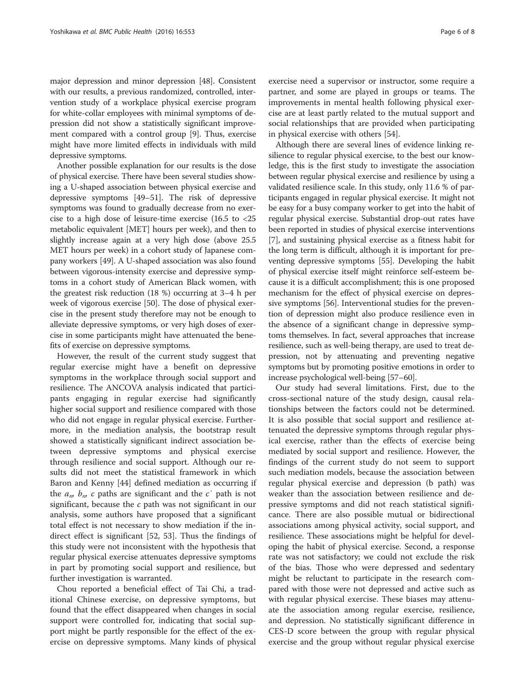major depression and minor depression [[48\]](#page-7-0). Consistent with our results, a previous randomized, controlled, intervention study of a workplace physical exercise program for white-collar employees with minimal symptoms of depression did not show a statistically significant improvement compared with a control group [\[9](#page-7-0)]. Thus, exercise might have more limited effects in individuals with mild depressive symptoms.

Another possible explanation for our results is the dose of physical exercise. There have been several studies showing a U-shaped association between physical exercise and depressive symptoms [[49](#page-7-0)–[51](#page-7-0)]. The risk of depressive symptoms was found to gradually decrease from no exercise to a high dose of leisure-time exercise (16.5 to <25 metabolic equivalent [MET] hours per week), and then to slightly increase again at a very high dose (above 25.5 MET hours per week) in a cohort study of Japanese company workers [\[49\]](#page-7-0). A U-shaped association was also found between vigorous-intensity exercise and depressive symptoms in a cohort study of American Black women, with the greatest risk reduction (18 %) occurring at 3–4 h per week of vigorous exercise [\[50\]](#page-7-0). The dose of physical exercise in the present study therefore may not be enough to alleviate depressive symptoms, or very high doses of exercise in some participants might have attenuated the benefits of exercise on depressive symptoms.

However, the result of the current study suggest that regular exercise might have a benefit on depressive symptoms in the workplace through social support and resilience. The ANCOVA analysis indicated that participants engaging in regular exercise had significantly higher social support and resilience compared with those who did not engage in regular physical exercise. Furthermore, in the mediation analysis, the bootstrap result showed a statistically significant indirect association between depressive symptoms and physical exercise through resilience and social support. Although our results did not meet the statistical framework in which Baron and Kenny [\[44\]](#page-7-0) defined mediation as occurring if the  $a_n$ ,  $b_n$ , c paths are significant and the c' path is not significant, because the  $c$  path was not significant in our analysis, some authors have proposed that a significant total effect is not necessary to show mediation if the indirect effect is significant [[52](#page-7-0), [53](#page-7-0)]. Thus the findings of this study were not inconsistent with the hypothesis that regular physical exercise attenuates depressive symptoms in part by promoting social support and resilience, but further investigation is warranted.

Chou reported a beneficial effect of Tai Chi, a traditional Chinese exercise, on depressive symptoms, but found that the effect disappeared when changes in social support were controlled for, indicating that social support might be partly responsible for the effect of the exercise on depressive symptoms. Many kinds of physical

exercise need a supervisor or instructor, some require a partner, and some are played in groups or teams. The improvements in mental health following physical exercise are at least partly related to the mutual support and social relationships that are provided when participating in physical exercise with others [[54\]](#page-7-0).

Although there are several lines of evidence linking resilience to regular physical exercise, to the best our knowledge, this is the first study to investigate the association between regular physical exercise and resilience by using a validated resilience scale. In this study, only 11.6 % of participants engaged in regular physical exercise. It might not be easy for a busy company worker to get into the habit of regular physical exercise. Substantial drop-out rates have been reported in studies of physical exercise interventions [[7\]](#page-6-0), and sustaining physical exercise as a fitness habit for the long term is difficult, although it is important for preventing depressive symptoms [[55](#page-7-0)]. Developing the habit of physical exercise itself might reinforce self-esteem because it is a difficult accomplishment; this is one proposed mechanism for the effect of physical exercise on depressive symptoms [[56](#page-7-0)]. Interventional studies for the prevention of depression might also produce resilience even in the absence of a significant change in depressive symptoms themselves. In fact, several approaches that increase resilience, such as well-being therapy, are used to treat depression, not by attenuating and preventing negative symptoms but by promoting positive emotions in order to increase psychological well-being [[57](#page-7-0)–[60\]](#page-7-0).

Our study had several limitations. First, due to the cross-sectional nature of the study design, causal relationships between the factors could not be determined. It is also possible that social support and resilience attenuated the depressive symptoms through regular physical exercise, rather than the effects of exercise being mediated by social support and resilience. However, the findings of the current study do not seem to support such mediation models, because the association between regular physical exercise and depression (b path) was weaker than the association between resilience and depressive symptoms and did not reach statistical significance. There are also possible mutual or bidirectional associations among physical activity, social support, and resilience. These associations might be helpful for developing the habit of physical exercise. Second, a response rate was not satisfactory; we could not exclude the risk of the bias. Those who were depressed and sedentary might be reluctant to participate in the research compared with those were not depressed and active such as with regular physical exercise. These biases may attenuate the association among regular exercise, resilience, and depression. No statistically significant difference in CES-D score between the group with regular physical exercise and the group without regular physical exercise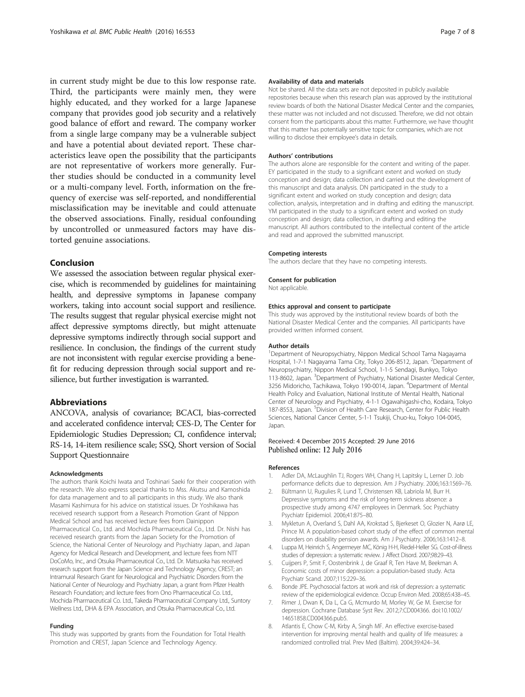<span id="page-6-0"></span>in current study might be due to this low response rate. Third, the participants were mainly men, they were highly educated, and they worked for a large Japanese company that provides good job security and a relatively good balance of effort and reward. The company worker from a single large company may be a vulnerable subject and have a potential about deviated report. These characteristics leave open the possibility that the participants are not representative of workers more generally. Further studies should be conducted in a community level or a multi-company level. Forth, information on the frequency of exercise was self-reported, and nondifferential misclassification may be inevitable and could attenuate the observed associations. Finally, residual confounding by uncontrolled or unmeasured factors may have distorted genuine associations.

### Conclusion

We assessed the association between regular physical exercise, which is recommended by guidelines for maintaining health, and depressive symptoms in Japanese company workers, taking into account social support and resilience. The results suggest that regular physical exercise might not affect depressive symptoms directly, but might attenuate depressive symptoms indirectly through social support and resilience. In conclusion, the findings of the current study are not inconsistent with regular exercise providing a benefit for reducing depression through social support and resilience, but further investigation is warranted.

### Abbreviations

ANCOVA, analysis of covariance; BCACI, bias-corrected and accelerated confidence interval; CES-D, The Center for Epidemiologic Studies Depression; CI, confidence interval; RS-14, 14-item resilience scale; SSQ, Short version of Social Support Questionnaire

#### Acknowledgments

The authors thank Koichi Iwata and Toshinari Saeki for their cooperation with the research. We also express special thanks to Mss. Akutsu and Kamoshida for data management and to all participants in this study. We also thank Masami Kashimura for his advice on statistical issues. Dr Yoshikawa has received research support from a Research Promotion Grant of Nippon Medical School and has received lecture fees from Dainippon Pharmaceutical Co., Ltd. and Mochida Pharmaceutical Co., Ltd. Dr. Nishi has received research grants from the Japan Society for the Promotion of Science, the National Center of Neurology and Psychiatry Japan, and Japan Agency for Medical Research and Development, and lecture fees from NTT DoCoMo, Inc., and Otsuka Pharmaceutical Co., Ltd. Dr. Matsuoka has received research support from the Japan Science and Technology Agency, CREST; an Intramural Research Grant for Neurological and Psychiatric Disorders from the National Center of Neurology and Psychiatry Japan, a grant from Pfizer Health Research Foundation; and lecture fees from Ono Pharmaceutical Co. Ltd., Mochida Pharmaceutical Co. Ltd., Takeda Pharmaceutical Company Ltd., Suntory Wellness Ltd., DHA & EPA Association, and Otsuka Pharmaceutical Co., Ltd.

#### Funding

This study was supported by grants from the Foundation for Total Health Promotion and CREST, Japan Science and Technology Agency.

#### Availability of data and materials

Not be shared. All the data sets are not deposited in publicly available repositories because when this research plan was approved by the institutional review boards of both the National Disaster Medical Center and the companies, these matter was not included and not discussed. Therefore, we did not obtain consent from the participants about this matter. Furthermore, we have thought that this matter has potentially sensitive topic for companies, which are not willing to disclose their employee's data in details.

#### Authors' contributions

The authors alone are responsible for the content and writing of the paper. EY participated in the study to a significant extent and worked on study conception and design; data collection and carried out the development of this manuscript and data analysis. DN participated in the study to a significant extent and worked on study conception and design; data collection, analysis, interpretation and in drafting and editing the manuscript. YM participated in the study to a significant extent and worked on study conception and design; data collection, in drafting and editing the manuscript. All authors contributed to the intellectual content of the article and read and approved the submitted manuscript.

#### Competing interests

The authors declare that they have no competing interests.

#### Consent for publication

Not applicable.

#### Ethics approval and consent to participate

This study was approved by the institutional review boards of both the National Disaster Medical Center and the companies. All participants have provided written informed consent.

#### Author details

<sup>1</sup>Department of Neuropsychiatry, Nippon Medical School Tama Nagayama Hospital, 1-7-1 Nagayama Tama City, Tokyo 206-8512, Japan. <sup>2</sup>Department of Neuropsychiatry, Nippon Medical School, 1-1-5 Sendagi, Bunkyo, Tokyo 113-8602, Japan. <sup>3</sup> Department of Psychiatry, National Disaster Medical Center, 3256 Midoricho, Tachikawa, Tokyo 190-0014, Japan. <sup>4</sup> Department of Mental Health Policy and Evaluation, National Institute of Mental Health, National Center of Neurology and Psychiatry, 4-1-1 Ogawahigashi-cho, Kodaira, Tokyo 187-8553, Japan. <sup>5</sup> Division of Health Care Research, Center for Public Health Sciences, National Cancer Center, 5-1-1 Tsukiji, Chuo-ku, Tokyo 104-0045, Japan.

### Received: 4 December 2015 Accepted: 29 June 2016 Published online: 12 July 2016

#### References

- 1. Adler DA, McLaughlin TJ, Rogers WH, Chang H, Lapitsky L, Lerner D. Job performance deficits due to depression. Am J Psychiatry. 2006;163:1569–76.
- 2. Bültmann U, Rugulies R, Lund T, Christensen KB, Labriola M, Burr H. Depressive symptoms and the risk of long-term sickness absence: a prospective study among 4747 employees in Denmark. Soc Psychiatry Psychiatr Epidemiol. 2006;41:875–80.
- 3. Mykletun A, Overland S, Dahl AA, Krokstad S, Bjerkeset O, Glozier N, Aarø LE, Prince M. A population-based cohort study of the effect of common mental disorders on disability pension awards. Am J Psychiatry. 2006;163:1412–8.
- 4. Luppa M, Heinrich S, Angermeyer MC, König H-H, Riedel-Heller SG. Cost-of-illness studies of depression: a systematic review. J Affect Disord. 2007;98:29–43.
- 5. Cuijpers P, Smit F, Oostenbrink J, de Graaf R, Ten Have M, Beekman A. Economic costs of minor depression: a population-based study. Acta Psychiatr Scand. 2007;115:229–36.
- 6. Bonde JPE. Psychosocial factors at work and risk of depression: a systematic review of the epidemiological evidence. Occup Environ Med. 2008;65:438–45.
- 7. Rimer J, Dwan K, Da L, Ca G, Mcmurdo M, Morley W, Ge M. Exercise for depression. Cochrane Database Syst Rev. 2012;7:CD004366. doi[:10.1002/](http://dx.doi.org/10.1002/14651858.CD004366.pub5) [14651858.CD004366.pub5](http://dx.doi.org/10.1002/14651858.CD004366.pub5).
- 8. Atlantis E, Chow C-M, Kirby A, Singh MF. An effective exercise-based intervention for improving mental health and quality of life measures: a randomized controlled trial. Prev Med (Baltim). 2004;39:424–34.